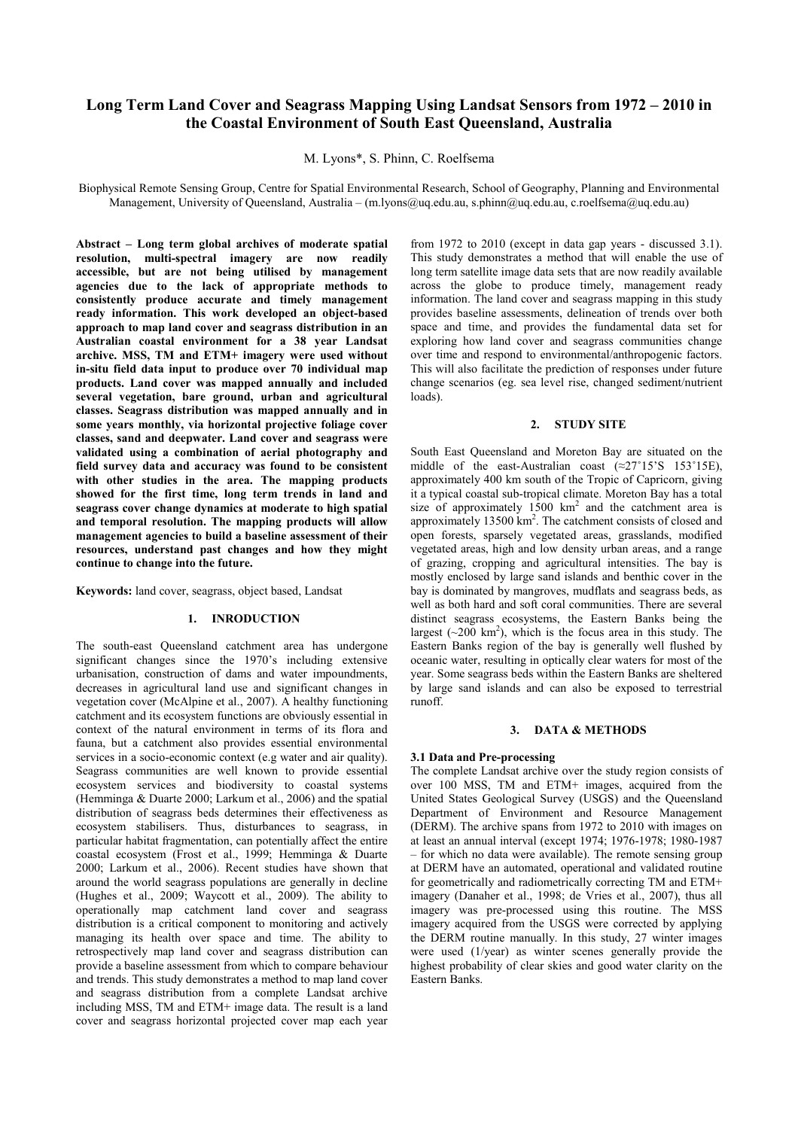# **Long Term Land Cover and Seagrass Mapping Using Landsat Sensors from 1972 – 2010 in the Coastal Environment of South East Queensland, Australia**

M. Lyons\*, S. Phinn, C. Roelfsema

Biophysical Remote Sensing Group, Centre for Spatial Environmental Research, School of Geography, Planning and Environmental Management, University of Queensland, Australia – (m.lyons@uq.edu.au, s.phinn@uq.edu.au, c.roelfsema@uq.edu.au)

**Abstract – Long term global archives of moderate spatial resolution, multi-spectral imagery are now readily accessible, but are not being utilised by management agencies due to the lack of appropriate methods to consistently produce accurate and timely management ready information. This work developed an object-based approach to map land cover and seagrass distribution in an Australian coastal environment for a 38 year Landsat archive. MSS, TM and ETM+ imagery were used without in-situ field data input to produce over 70 individual map products. Land cover was mapped annually and included several vegetation, bare ground, urban and agricultural classes. Seagrass distribution was mapped annually and in some years monthly, via horizontal projective foliage cover classes, sand and deepwater. Land cover and seagrass were validated using a combination of aerial photography and field survey data and accuracy was found to be consistent with other studies in the area. The mapping products showed for the first time, long term trends in land and seagrass cover change dynamics at moderate to high spatial and temporal resolution. The mapping products will allow management agencies to build a baseline assessment of their resources, understand past changes and how they might continue to change into the future.** 

**Keywords:** land cover, seagrass, object based, Landsat

# **1. INRODUCTION**

The south-east Queensland catchment area has undergone significant changes since the 1970's including extensive urbanisation, construction of dams and water impoundments, decreases in agricultural land use and significant changes in vegetation cover (McAlpine et al., 2007). A healthy functioning catchment and its ecosystem functions are obviously essential in context of the natural environment in terms of its flora and fauna, but a catchment also provides essential environmental services in a socio-economic context (e.g water and air quality). Seagrass communities are well known to provide essential ecosystem services and biodiversity to coastal systems (Hemminga & Duarte 2000; Larkum et al., 2006) and the spatial distribution of seagrass beds determines their effectiveness as ecosystem stabilisers. Thus, disturbances to seagrass, in particular habitat fragmentation, can potentially affect the entire coastal ecosystem (Frost et al., 1999; Hemminga & Duarte 2000; Larkum et al., 2006). Recent studies have shown that around the world seagrass populations are generally in decline (Hughes et al., 2009; Waycott et al., 2009). The ability to operationally map catchment land cover and seagrass distribution is a critical component to monitoring and actively managing its health over space and time. The ability to retrospectively map land cover and seagrass distribution can provide a baseline assessment from which to compare behaviour and trends. This study demonstrates a method to map land cover and seagrass distribution from a complete Landsat archive including MSS, TM and ETM+ image data. The result is a land cover and seagrass horizontal projected cover map each year

from 1972 to 2010 (except in data gap years - discussed 3.1). This study demonstrates a method that will enable the use of long term satellite image data sets that are now readily available across the globe to produce timely, management ready information. The land cover and seagrass mapping in this study provides baseline assessments, delineation of trends over both space and time, and provides the fundamental data set for exploring how land cover and seagrass communities change over time and respond to environmental/anthropogenic factors. This will also facilitate the prediction of responses under future change scenarios (eg. sea level rise, changed sediment/nutrient loads).

# **2. STUDY SITE**

South East Queensland and Moreton Bay are situated on the middle of the east-Australian coast  $(\approx 27^{\circ}15^{\circ}S \quad 153^{\circ}15E)$ , approximately 400 km south of the Tropic of Capricorn, giving it a typical coastal sub-tropical climate. Moreton Bay has a total size of approximately  $1500 \text{ km}^2$  and the catchment area is approximately 13500 km<sup>2</sup>. The catchment consists of closed and open forests, sparsely vegetated areas, grasslands, modified vegetated areas, high and low density urban areas, and a range of grazing, cropping and agricultural intensities. The bay is mostly enclosed by large sand islands and benthic cover in the bay is dominated by mangroves, mudflats and seagrass beds, as well as both hard and soft coral communities. There are several distinct seagrass ecosystems, the Eastern Banks being the largest  $(\sim 200 \text{ km}^2)$ , which is the focus area in this study. The Eastern Banks region of the bay is generally well flushed by oceanic water, resulting in optically clear waters for most of the year. Some seagrass beds within the Eastern Banks are sheltered by large sand islands and can also be exposed to terrestrial runoff.

## **3. DATA & METHODS**

## **3.1 Data and Pre-processing**

The complete Landsat archive over the study region consists of over 100 MSS, TM and ETM+ images, acquired from the United States Geological Survey (USGS) and the Queensland Department of Environment and Resource Management (DERM). The archive spans from 1972 to 2010 with images on at least an annual interval (except 1974; 1976-1978; 1980-1987 – for which no data were available). The remote sensing group at DERM have an automated, operational and validated routine for geometrically and radiometrically correcting TM and ETM+ imagery (Danaher et al., 1998; de Vries et al., 2007), thus all imagery was pre-processed using this routine. The MSS imagery acquired from the USGS were corrected by applying the DERM routine manually. In this study, 27 winter images were used (1/year) as winter scenes generally provide the highest probability of clear skies and good water clarity on the Eastern Banks.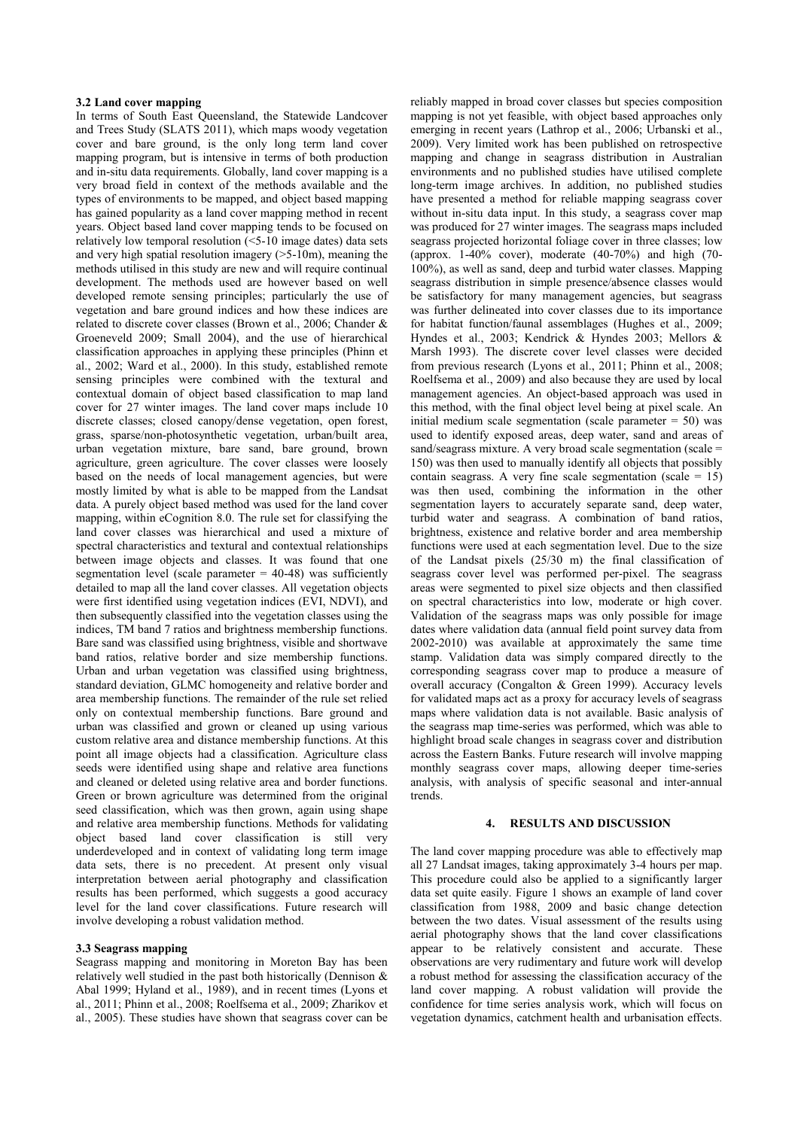### **3.2 Land cover mapping**

In terms of South East Queensland, the Statewide Landcover and Trees Study (SLATS 2011), which maps woody vegetation cover and bare ground, is the only long term land cover mapping program, but is intensive in terms of both production and in-situ data requirements. Globally, land cover mapping is a very broad field in context of the methods available and the types of environments to be mapped, and object based mapping has gained popularity as a land cover mapping method in recent years. Object based land cover mapping tends to be focused on relatively low temporal resolution  $\sqrt{\left(5-10\right)}$  image dates) data sets and very high spatial resolution imagery (>5-10m), meaning the methods utilised in this study are new and will require continual development. The methods used are however based on well developed remote sensing principles; particularly the use of vegetation and bare ground indices and how these indices are related to discrete cover classes (Brown et al., 2006; Chander & Groeneveld 2009; Small 2004), and the use of hierarchical classification approaches in applying these principles (Phinn et al., 2002; Ward et al., 2000). In this study, established remote sensing principles were combined with the textural and contextual domain of object based classification to map land cover for 27 winter images. The land cover maps include 10 discrete classes; closed canopy/dense vegetation, open forest, grass, sparse/non-photosynthetic vegetation, urban/built area, urban vegetation mixture, bare sand, bare ground, brown agriculture, green agriculture. The cover classes were loosely based on the needs of local management agencies, but were mostly limited by what is able to be mapped from the Landsat data. A purely object based method was used for the land cover mapping, within eCognition 8.0. The rule set for classifying the land cover classes was hierarchical and used a mixture of spectral characteristics and textural and contextual relationships between image objects and classes. It was found that one segmentation level (scale parameter  $= 40-48$ ) was sufficiently detailed to map all the land cover classes. All vegetation objects were first identified using vegetation indices (EVI, NDVI), and then subsequently classified into the vegetation classes using the indices, TM band 7 ratios and brightness membership functions. Bare sand was classified using brightness, visible and shortwave band ratios, relative border and size membership functions. Urban and urban vegetation was classified using brightness, standard deviation, GLMC homogeneity and relative border and area membership functions. The remainder of the rule set relied only on contextual membership functions. Bare ground and urban was classified and grown or cleaned up using various custom relative area and distance membership functions. At this point all image objects had a classification. Agriculture class seeds were identified using shape and relative area functions and cleaned or deleted using relative area and border functions. Green or brown agriculture was determined from the original seed classification, which was then grown, again using shape and relative area membership functions. Methods for validating object based land cover classification is still very underdeveloped and in context of validating long term image data sets, there is no precedent. At present only visual interpretation between aerial photography and classification results has been performed, which suggests a good accuracy level for the land cover classifications. Future research will involve developing a robust validation method.

#### **3.3 Seagrass mapping**

Seagrass mapping and monitoring in Moreton Bay has been relatively well studied in the past both historically (Dennison & Abal 1999; Hyland et al., 1989), and in recent times (Lyons et al., 2011; Phinn et al., 2008; Roelfsema et al., 2009; Zharikov et al., 2005). These studies have shown that seagrass cover can be

reliably mapped in broad cover classes but species composition mapping is not yet feasible, with object based approaches only emerging in recent years (Lathrop et al., 2006; Urbanski et al., 2009). Very limited work has been published on retrospective mapping and change in seagrass distribution in Australian environments and no published studies have utilised complete long-term image archives. In addition, no published studies have presented a method for reliable mapping seagrass cover without in-situ data input. In this study, a seagrass cover map was produced for 27 winter images. The seagrass maps included seagrass projected horizontal foliage cover in three classes; low (approx. 1-40% cover), moderate (40-70%) and high (70- 100%), as well as sand, deep and turbid water classes. Mapping seagrass distribution in simple presence/absence classes would be satisfactory for many management agencies, but seagrass was further delineated into cover classes due to its importance for habitat function/faunal assemblages (Hughes et al., 2009; Hyndes et al., 2003; Kendrick & Hyndes 2003; Mellors & Marsh 1993). The discrete cover level classes were decided from previous research (Lyons et al., 2011; Phinn et al., 2008; Roelfsema et al., 2009) and also because they are used by local management agencies. An object-based approach was used in this method, with the final object level being at pixel scale. An initial medium scale segmentation (scale parameter  $= 50$ ) was used to identify exposed areas, deep water, sand and areas of sand/seagrass mixture. A very broad scale segmentation (scale = 150) was then used to manually identify all objects that possibly contain seagrass. A very fine scale segmentation (scale  $= 15$ ) was then used, combining the information in the other segmentation layers to accurately separate sand, deep water, turbid water and seagrass. A combination of band ratios, brightness, existence and relative border and area membership functions were used at each segmentation level. Due to the size of the Landsat pixels (25/30 m) the final classification of seagrass cover level was performed per-pixel. The seagrass areas were segmented to pixel size objects and then classified on spectral characteristics into low, moderate or high cover. Validation of the seagrass maps was only possible for image dates where validation data (annual field point survey data from 2002-2010) was available at approximately the same time stamp. Validation data was simply compared directly to the corresponding seagrass cover map to produce a measure of overall accuracy (Congalton & Green 1999). Accuracy levels for validated maps act as a proxy for accuracy levels of seagrass maps where validation data is not available. Basic analysis of the seagrass map time-series was performed, which was able to highlight broad scale changes in seagrass cover and distribution across the Eastern Banks. Future research will involve mapping monthly seagrass cover maps, allowing deeper time-series analysis, with analysis of specific seasonal and inter-annual trends.

#### **4. RESULTS AND DISCUSSION**

The land cover mapping procedure was able to effectively map all 27 Landsat images, taking approximately 3-4 hours per map. This procedure could also be applied to a significantly larger data set quite easily. Figure 1 shows an example of land cover classification from 1988, 2009 and basic change detection between the two dates. Visual assessment of the results using aerial photography shows that the land cover classifications appear to be relatively consistent and accurate. These observations are very rudimentary and future work will develop a robust method for assessing the classification accuracy of the land cover mapping. A robust validation will provide the confidence for time series analysis work, which will focus on vegetation dynamics, catchment health and urbanisation effects.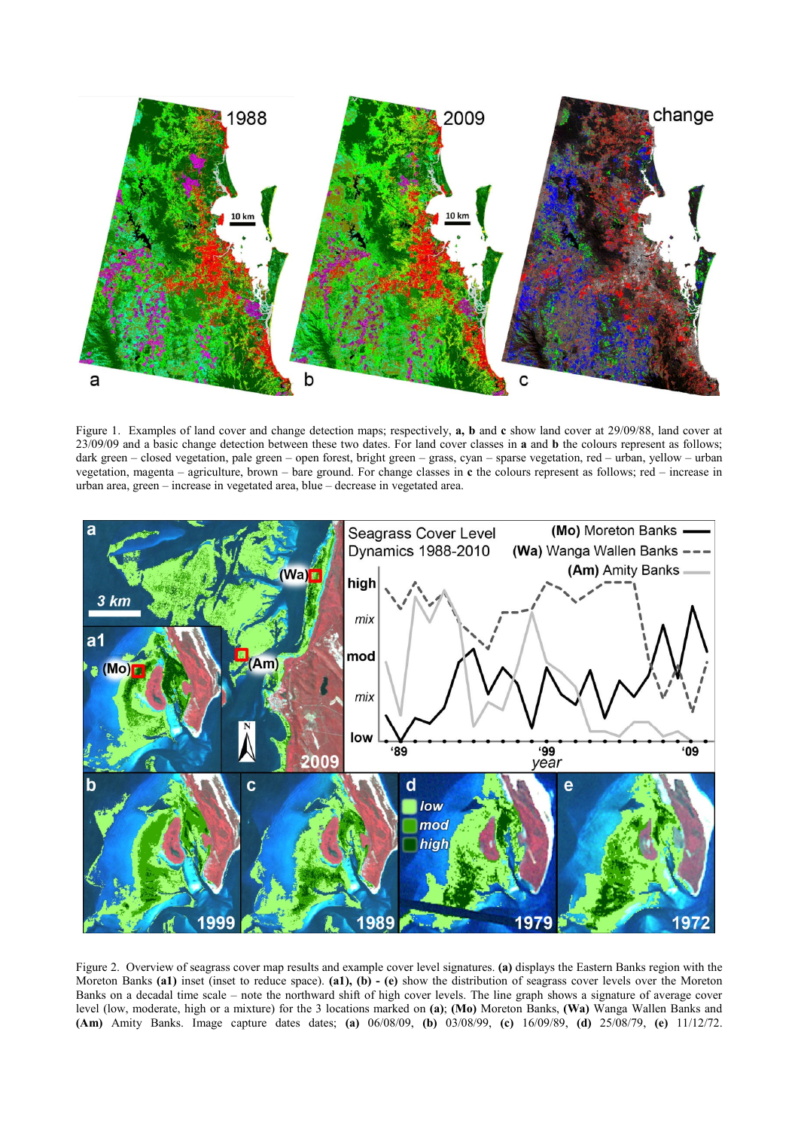

Figure 1. Examples of land cover and change detection maps; respectively, **a, b** and **c** show land cover at 29/09/88, land cover at 23/09/09 and a basic change detection between these two dates. For land cover classes in **a** and **b** the colours represent as follows; dark green – closed vegetation, pale green – open forest, bright green – grass, cyan – sparse vegetation, red – urban, yellow – urban vegetation, magenta – agriculture, brown – bare ground. For change classes in **c** the colours represent as follows; red – increase in urban area, green – increase in vegetated area, blue – decrease in vegetated area.



Figure 2. Overview of seagrass cover map results and example cover level signatures. **(a)** displays the Eastern Banks region with the Moreton Banks **(a1)** inset (inset to reduce space). **(a1), (b) - (e)** show the distribution of seagrass cover levels over the Moreton Banks on a decadal time scale – note the northward shift of high cover levels. The line graph shows a signature of average cover level (low, moderate, high or a mixture) for the 3 locations marked on **(a)**; **(Mo)** Moreton Banks, **(Wa)** Wanga Wallen Banks and **(Am)** Amity Banks. Image capture dates dates; **(a)** 06/08/09, **(b)** 03/08/99, **(c)** 16/09/89, **(d)** 25/08/79, **(e)** 11/12/72.